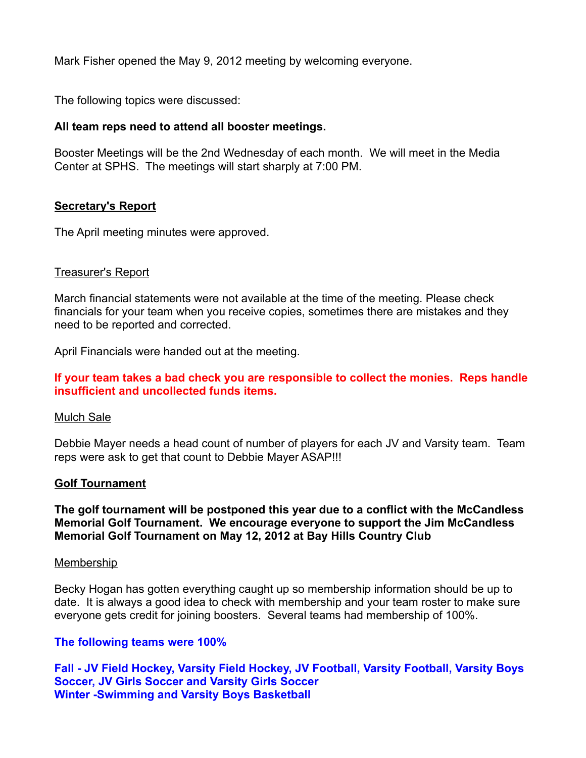Mark Fisher opened the May 9, 2012 meeting by welcoming everyone.

The following topics were discussed:

# **All team reps need to attend all booster meetings.**

Booster Meetings will be the 2nd Wednesday of each month. We will meet in the Media Center at SPHS. The meetings will start sharply at 7:00 PM.

## **Secretary's Report**

The April meeting minutes were approved.

## Treasurer's Report

March financial statements were not available at the time of the meeting. Please check financials for your team when you receive copies, sometimes there are mistakes and they need to be reported and corrected.

April Financials were handed out at the meeting.

## **If your team takes a bad check you are responsible to collect the monies. Reps handle insufficient and uncollected funds items.**

### Mulch Sale

Debbie Mayer needs a head count of number of players for each JV and Varsity team. Team reps were ask to get that count to Debbie Mayer ASAP!!!

### **Golf Tournament**

**The golf tournament will be postponed this year due to a conflict with the McCandless Memorial Golf Tournament. We encourage everyone to support the Jim McCandless Memorial Golf Tournament on May 12, 2012 at Bay Hills Country Club**

### **Membership**

Becky Hogan has gotten everything caught up so membership information should be up to date. It is always a good idea to check with membership and your team roster to make sure everyone gets credit for joining boosters. Several teams had membership of 100%.

### **The following teams were 100%**

**Fall - JV Field Hockey, Varsity Field Hockey, JV Football, Varsity Football, Varsity Boys Soccer, JV Girls Soccer and Varsity Girls Soccer Winter -Swimming and Varsity Boys Basketball**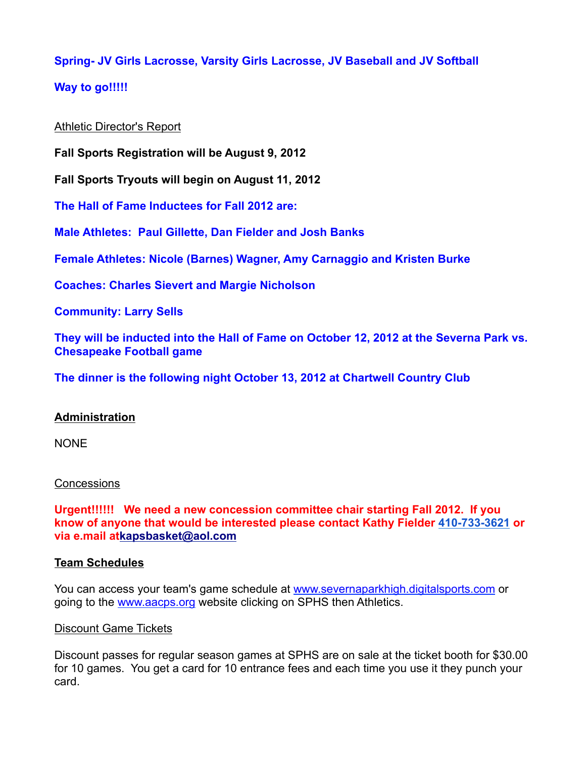# **Spring- JV Girls Lacrosse, Varsity Girls Lacrosse, JV Baseball and JV Softball**

# **Way to go!!!!!**

## Athletic Director's Report

**Fall Sports Registration will be August 9, 2012**

**Fall Sports Tryouts will begin on August 11, 2012**

**The Hall of Fame Inductees for Fall 2012 are:**

**Male Athletes: Paul Gillette, Dan Fielder and Josh Banks**

**Female Athletes: Nicole (Barnes) Wagner, Amy Carnaggio and Kristen Burke**

**Coaches: Charles Sievert and Margie Nicholson**

**Community: Larry Sells**

**They will be inducted into the Hall of Fame on October 12, 2012 at the Severna Park vs. Chesapeake Football game**

**The dinner is the following night October 13, 2012 at Chartwell Country Club**

# **Administration**

NONE

### **Concessions**

**Urgent!!!!!! We need a new concession committee chair starting Fall 2012. If you know of anyone that would be interested please contact Kathy Fielder 410-733-3621 or via e.mail atkapsbasket@aol.com**

### **Team Schedules**

You can access your team's game schedule at www.severnaparkhigh.digitalsports.com or going to the www.aacps.org website clicking on SPHS then Athletics.

### Discount Game Tickets

Discount passes for regular season games at SPHS are on sale at the ticket booth for \$30.00 for 10 games. You get a card for 10 entrance fees and each time you use it they punch your card.